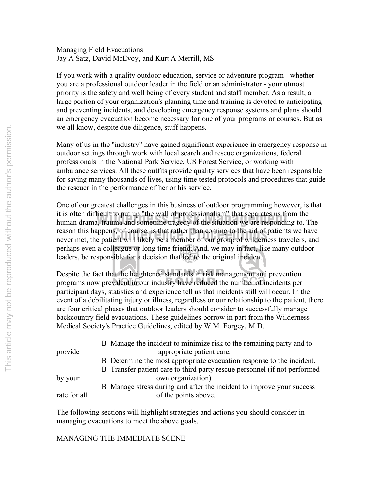Managing Field Evacuations Jay A Satz, David McEvoy, and Kurt A Merrill, MS

If you work with a quality outdoor education, service or adventure program - whether you are a professional outdoor leader in the field or an administrator - your utmost priority is the safety and well being of every student and staff member. As a result, a large portion of your organization's planning time and training is devoted to anticipating and preventing incidents, and developing emergency response systems and plans should an emergency evacuation become necessary for one of your programs or courses. But as we all know, despite due diligence, stuff happens.

Many of us in the "industry" have gained significant experience in emergency response in outdoor settings through work with local search and rescue organizations, federal professionals in the National Park Service, US Forest Service, or working with ambulance services. All these outfits provide quality services that have been responsible for saving many thousands of lives, using time tested protocols and procedures that guide the rescuer in the performance of her or his service.

reason this happens, of course, is that rather than coming to the aid of patients we have<br>never met, the patient will likely be a member of our group of wilderness travelers, and it is often difficult to put up "the wall of professionalism" that separates us from the<br>human drama, trauma and sometime tragedy of the situation we are responding to. The One of our greatest challenges in this business of outdoor programming however, is that it is often difficult to put up "the wall of professionalism" that separates us from the reason this happens, of course, is that rather than coming to the aid of patients we have perhaps even a colleague or long time friend. And, we may in fact, like many outdoor leaders, be responsible for a decision that led to the original incident.

Despite the fact that the heightened standards in risk management and prevention programs now prevalent in our industry have reduced the number of incidents per participant days, statistics and experience tell us that incidents still will occur. In the event of a debilitating injury or illness, regardless or our relationship to the patient, there are four critical phases that outdoor leaders should consider to successfully manage backcountry field evacuations. These guidelines borrow in part from the Wilderness Medical Society's Practice Guidelines, edited by W.M. Forgey, M.D.

|              | B Manage the incident to minimize risk to the remaining party and to      |
|--------------|---------------------------------------------------------------------------|
| provide      | appropriate patient care.                                                 |
|              | B Determine the most appropriate evacuation response to the incident.     |
|              | B Transfer patient care to third party rescue personnel (if not performed |
| by your      | own organization).                                                        |
|              | B Manage stress during and after the incident to improve your success     |
| rate for all | of the points above.                                                      |

The following sections will highlight strategies and actions you should consider in managing evacuations to meet the above goals.

MANAGING THE IMMEDIATE SCENE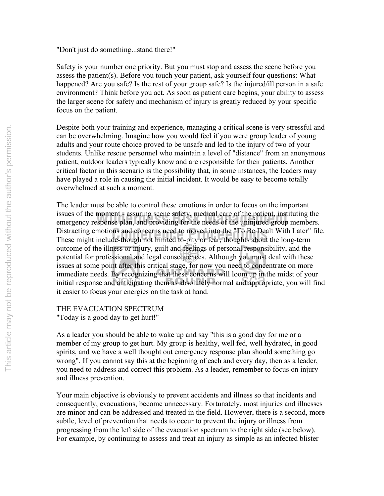"Don't just do something...stand there!"

Safety is your number one priority. But you must stop and assess the scene before you assess the patient(s). Before you touch your patient, ask yourself four questions: What happened? Are you safe? Is the rest of your group safe? Is the injured/ill person in a safe environment? Think before you act. As soon as patient care begins, your ability to assess the larger scene for safety and mechanism of injury is greatly reduced by your specific focus on the patient.

Despite both your training and experience, managing a critical scene is very stressful and can be overwhelming. Imagine how you would feel if you were group leader of young adults and your route choice proved to be unsafe and led to the injury of two of your students. Unlike rescue personnel who maintain a level of "distance" from an anonymous patient, outdoor leaders typically know and are responsible for their patients. Another critical factor in this scenario is the possibility that, in some instances, the leaders may have played a role in causing the initial incident. It would be easy to become totally overwhelmed at such a moment.

Distracting emotions and concerns need to moved into the "To Be Dealt With Later" file.<br>These might include-though not limited to-pity or fear, thoughts about the long-term Issues of the moment - assuring scene safety, medical care of the patient, instituting the emergency response plan, and providing for the needs of the uninjured group members. The leader must be able to control these emotions in order to focus on the important issues of the moment - assuring scene safety, medical care of the patient, instituting the These might include-though not limited to-pity or fear, thoughts about the long-term outcome of the illness or injury, guilt and feelings of personal responsibility, and the potential for professional and legal consequences. Although you must deal with these issues at some point after this critical stage, for now you need to concentrate on more immediate needs. By recognizing that these concerns will loom up in the midst of your initial response and anticipating them as absolutely normal and appropriate, you will find it easier to focus your energies on the task at hand.

THE EVACUATION SPECTRUM "Today is a good day to get hurt!"

As a leader you should be able to wake up and say "this is a good day for me or a member of my group to get hurt. My group is healthy, well fed, well hydrated, in good spirits, and we have a well thought out emergency response plan should something go wrong". If you cannot say this at the beginning of each and every day, then as a leader, you need to address and correct this problem. As a leader, remember to focus on injury and illness prevention.

Your main objective is obviously to prevent accidents and illness so that incidents and consequently, evacuations, become unnecessary. Fortunately, most injuries and illnesses are minor and can be addressed and treated in the field. However, there is a second, more subtle, level of prevention that needs to occur to prevent the injury or illness from progressing from the left side of the evacuation spectrum to the right side (see below). For example, by continuing to assess and treat an injury as simple as an infected blister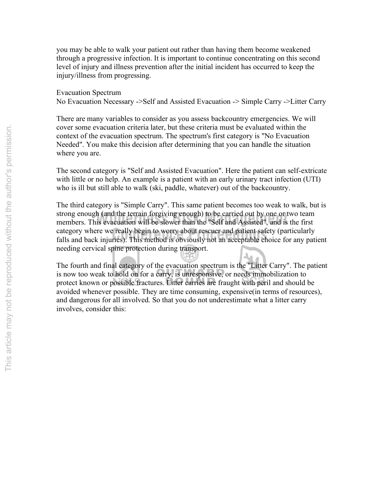you may be able to walk your patient out rather than having them become weakened through a progressive infection. It is important to continue concentrating on this second level of injury and illness prevention after the initial incident has occurred to keep the injury/illness from progressing.

Evacuation Spectrum No Evacuation Necessary ->Self and Assisted Evacuation -> Simple Carry ->Litter Carry

There are many variables to consider as you assess backcountry emergencies. We will cover some evacuation criteria later, but these criteria must be evaluated within the context of the evacuation spectrum. The spectrum's first category is "No Evacuation Needed". You make this decision after determining that you can handle the situation where you are.

The second category is "Self and Assisted Evacuation". Here the patient can self-extricate with little or no help. An example is a patient with an early urinary tract infection (UTI) who is ill but still able to walk (ski, paddle, whatever) out of the backcountry.

The third category is "Simple Carry". This same patient becomes too weak to walk, but is strong enough (and the terrain forgiving enough) to be carried out by one or two team strong enough (and the terrain forgiving enough) to be carried out by one or two team<br>members. This evacuation will be slower than the "Self and Assisted", and is the first category where we really begin to worry about rescuer and patient safety (particularly category where we really begin to worry about rescuer and patient safety (particularly falls and back injuries). This method is obviously not an acceptable choice for any patient needing cervical spine protection during transport.  $\mathbf{A}_{\mathbf{a}}$ 

The fourth and final category of the evacuation spectrum is the "Litter Carry". The patient is now too weak to hold on for a carry, is unresponsive, or needs immobilization to protect known or possible fractures. Litter carries are fraught with peril and should be avoided whenever possible. They are time consuming, expensive(in terms of resources), and dangerous for all involved. So that you do not underestimate what a litter carry involves, consider this: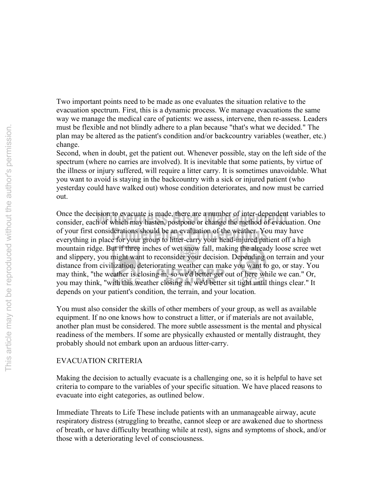Two important points need to be made as one evaluates the situation relative to the evacuation spectrum. First, this is a dynamic process. We manage evacuations the same way we manage the medical care of patients: we assess, intervene, then re-assess. Leaders must be flexible and not blindly adhere to a plan because "that's what we decided." The plan may be altered as the patient's condition and/or backcountry variables (weather, etc.) change.

Second, when in doubt, get the patient out. Whenever possible, stay on the left side of the spectrum (where no carries are involved). It is inevitable that some patients, by virtue of the illness or injury suffered, will require a litter carry. It is sometimes unavoidable. What you want to avoid is staying in the backcountry with a sick or injured patient (who yesterday could have walked out) whose condition deteriorates, and now must be carried out.

of your first considerations should be an evaluation of the weather. You may have<br>everything in place for your group to litter-carry your head-injured patient off a high Once the decision to evacuate is made, there are a number of inter-dependent variables to consider, each of which may hasten, postpone or change the method of evacuation. One Once the decision to evacuate is made, there are a number of inter-dependent variables to of your first considerations should be an evaluation of the weather. You may have mountain ridge. But if three inches of wet snow fall, making the already loose scree wet and slippery, you might want to reconsider your decision. Depending on terrain and your distance from civilization, deteriorating weather can make you want to go, or stay. You may think, "the weather is closing in, so we'd better get out of here while we can." Or, you may think, "with this weather closing in, we'd better sit tight until things clear." It depends on your patient's condition, the terrain, and your location.

You must also consider the skills of other members of your group, as well as available equipment. If no one knows how to construct a litter, or if materials are not available, another plan must be considered. The more subtle assessment is the mental and physical readiness of the members. If some are physically exhausted or mentally distraught, they probably should not embark upon an arduous litter-carry.

#### EVACUATION CRITERIA

Making the decision to actually evacuate is a challenging one, so it is helpful to have set criteria to compare to the variables of your specific situation. We have placed reasons to evacuate into eight categories, as outlined below.

Immediate Threats to Life These include patients with an unmanageable airway, acute respiratory distress (struggling to breathe, cannot sleep or are awakened due to shortness of breath, or have difficulty breathing while at rest), signs and symptoms of shock, and/or those with a deteriorating level of consciousness.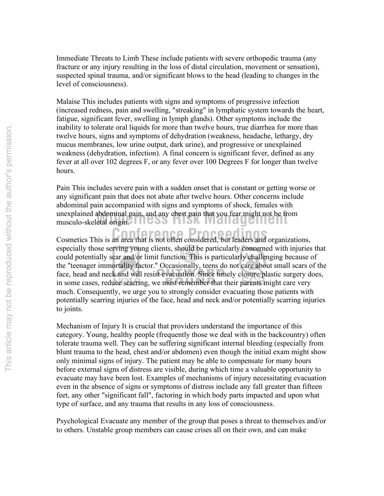Immediate Threats to Limb These include patients with severe orthopedic trauma (any fracture or any injury resulting in the loss of distal circulation, movement or sensation), suspected spinal trauma, and/or significant blows to the head (leading to changes in the level of consciousness).

Malaise This includes patients with signs and symptoms of progressive infection (increased redness, pain and swelling, "streaking" in lymphatic system towards the heart, fatigue, significant fever, swelling in lymph glands). Other symptoms include the inability to tolerate oral liquids for more than twelve hours, true diarrhea for more than twelve hours, signs and symptoms of dehydration (weakness, headache, lethargy, dry mucus membranes, low urine output, dark urine), and progressive or unexplained weakness (dehydration, infection). A final concern is significant fever, defined as any fever at all over 102 degrees F, or any fever over 100 Degrees F for longer than twelve hours.

unexplained abdominal pain, and any chest pain that you fear might not be fr<br>musculo-skeletal origin. Pain This includes severe pain with a sudden onset that is constant or getting worse or any significant pain that does not abate after twelve hours. Other concerns include abdominal pain accompanied with signs and symptoms of shock, females with unexplained abdominal pain, and any chest pain that you fear might not be from

**Cosmetics This is an area that is not often considered, but leaders and organizations,** 

especially those serving young clients, should be particularly concerned with injuries that could potentially scar and/or limit function. This is particularly challenging because of the "teenager immortality factor." Occasionally, teens do not care about small scars of the face, head and neck and will resist evacuation. Since timely closure/plastic surgery does, in some cases, reduce scarring, we must remember that their parents might care very much. Consequently, we urge you to strongly consider evacuating those patients with potentially scarring injuries of the face, head and neck and/or potentially scarring injuries to joints.

Mechanism of Injury It is crucial that providers understand the importance of this category. Young, healthy people (frequently those we deal with in the backcountry) often tolerate trauma well. They can be suffering significant internal bleeding (especially from blunt trauma to the head, chest and/or abdomen) even though the initial exam might show only minimal signs of injury. The patient may be able to compensate for many hours before external signs of distress are visible, during which time a valuable opportunity to evacuate may have been lost. Examples of mechanisms of injury necessitating evacuation even in the absence of signs or symptoms of distress include any fall greater than fifteen feet, any other "significant fall", factoring in which body parts impacted and upon what type of surface, and any trauma that results in any loss of consciousness.

Psychological Evacuate any member of the group that poses a threat to themselves and/or to others. Unstable group members can cause crises all on their own, and can make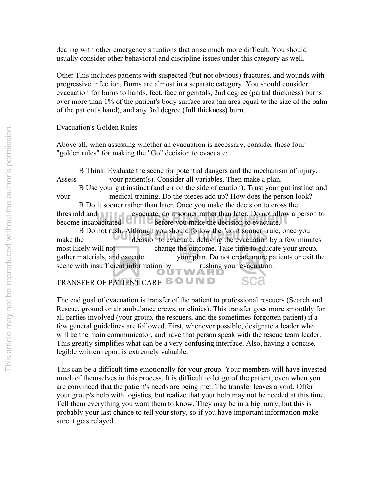dealing with other emergency situations that arise much more difficult. You should usually consider other behavioral and discipline issues under this category as well.

Other This includes patients with suspected (but not obvious) fractures, and wounds with progressive infection. Burns are almost in a separate category. You should consider evacuation for burns to hands, feet, face or genitals, 2nd degree (partial thickness) burns over more than 1% of the patient's body surface area (an area equal to the size of the palm of the patient's hand), and any 3rd degree (full thickness) burn.

Evacuation's Golden Rules

Above all, when assessing whether an evacuation is necessary, consider these four "golden rules" for making the "Go" decision to evacuate:

B Think. Evaluate the scene for potential dangers and the mechanism of injury. Assess your patient(s). Consider all variables. Then make a plan.

B Use your gut instinct (and err on the side of caution). Trust your gut instinct and your medical training. Do the pieces add up? How does the person look?

threshold and evacuate, do it sooner rather than later. Do not allow a person to become incapacitated **before** you make the decision to evacuate. B Do it sooner rather than later. Once you make the decision to cross the become incapacitated  $\Box$  **before you make the decision to evacuate.** 

B Do not rush. Although you should follow the "do it sooner" rule, once you decision to evacuate, delaying the evacuation by a few minu make the decision to evacuate, delaying the evacuation by a few minutes most likely will not change the outcome. Take time to educate your group, gather materials, and execute your plan. Do not create more patients or exit the scene with insufficient information by rushing your evacuation.

TRANSFER OF PATIENT CARE BOUND

The end goal of evacuation is transfer of the patient to professional rescuers (Search and Rescue, ground or air ambulance crews, or clinics). This transfer goes more smoothly for all parties involved (your group, the rescuers, and the sometimes-forgotten patient) if a few general guidelines are followed. First, whenever possible, designate a leader who will be the main communicator, and have that person speak with the rescue team leader. This greatly simplifies what can be a very confusing interface. Also, having a concise, legible written report is extremely valuable.

This can be a difficult time emotionally for your group. Your members will have invested much of themselves in this process. It is difficult to let go of the patient, even when you are convinced that the patient's needs are being met. The transfer leaves a void. Offer your group's help with logistics, but realize that your help may not be needed at this time. Tell them everything you want them to know. They may be in a big hurry, but this is probably your last chance to tell your story, so if you have important information make sure it gets relayed.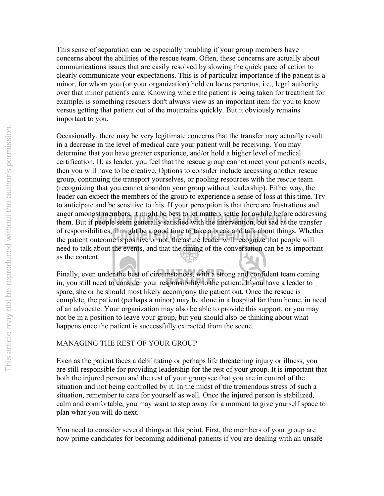This sense of separation can be especially troubling if your group members have concerns about the abilities of the rescue team. Often, these concerns are actually about communications issues that are easily resolved by slowing the quick pace of action to clearly communicate your expectations. This is of particular importance if the patient is a minor, for whom you (or your organization) hold en locus parentus, i.e., legal authority over that minor patient's care. Knowing where the patient is being taken for treatment for example, is something rescuers don't always view as an important item for you to know versus getting that patient out of the mountains quickly. But it obviously remains important to you.

of responsibilities, it might be a good time to take a break and talk about things. Whetl<br>the patient outcome is positive or not, the astute leader will recognize that people will anger amongst members, it might be best to let matters settle for awhile before addressin<br>them. But if people seem generally satisfied with the intervention, but sad at the transfer Occasionally, there may be very legitimate concerns that the transfer may actually result in a decrease in the level of medical care your patient will be receiving. You may determine that you have greater experience, and/or hold a higher level of medical certification. If, as leader, you feel that the rescue group cannot meet your patient's needs, then you will have to be creative. Options to consider include accessing another rescue group, continuing the transport yourselves, or pooling resources with the rescue team (recognizing that you cannot abandon your group without leadership). Either way, the leader can expect the members of the group to experience a sense of loss at this time. Try to anticipate and be sensitive to this. If your perception is that there are frustrations and anger amongst members, it might be best to let matters settle for awhile before addressing of responsibilities, it might be a good time to take a break and talk about things. Whether need to talk about the events, and that the timing of the conversation can be as important as the content.

Finally, even under the best of circumstances, with a strong and confident team coming in, you still need to consider your responsibility to the patient. If you have a leader to spare, she or he should most likely accompany the patient out. Once the rescue is complete, the patient (perhaps a minor) may be alone in a hospital far from home, in need of an advocate. Your organization may also be able to provide this support, or you may not be in a position to leave your group, but you should also be thinking about what happens once the patient is successfully extracted from the scene.

## MANAGING THE REST OF YOUR GROUP

Even as the patient faces a debilitating or perhaps life threatening injury or illness, you are still responsible for providing leadership for the rest of your group. It is important that both the injured person and the rest of your group see that you are in control of the situation and not being controlled by it. In the midst of the tremendous stress of such a situation, remember to care for yourself as well. Once the injured person is stabilized, calm and comfortable, you may want to step away for a moment to give yourself space to plan what you will do next.

You need to consider several things at this point. First, the members of your group are now prime candidates for becoming additional patients if you are dealing with an unsafe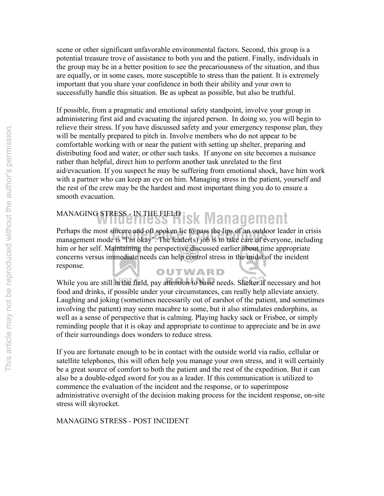scene or other significant unfavorable environmental factors. Second, this group is a potential treasure trove of assistance to both you and the patient. Finally, individuals in the group may be in a better position to see the precariousness of the situation, and thus are equally, or in some cases, more susceptible to stress than the patient. It is extremely important that you share your confidence in both their ability and your own to successfully handle this situation. Be as upbeat as possible, but also be truthful.

If possible, from a pragmatic and emotional safety standpoint, involve your group in administering first aid and evacuating the injured person. In doing so, you will begin to relieve their stress. If you have discussed safety and your emergency response plan, they will be mentally prepared to pitch in. Involve members who do not appear to be comfortable working with or near the patient with setting up shelter, preparing and distributing food and water, or other such tasks. If anyone on site becomes a nuisance rather than helpful, direct him to perform another task unrelated to the first aid/evacuation. If you suspect he may be suffering from emotional shock, have him work with a partner who can keep an eye on him. Managing stress in the patient, yourself and the rest of the crew may be the hardest and most important thing you do to ensure a smooth evacuation.

# MANAGING STRESS - IN THE FIELD **isk Management**

Perhaps the most sincere and oft spoken lie to pass the lips of an outdoor leader in crisis management mode is "I'm okay". The leader(s) job is to take care of everyone, including Perhaps the most sincere and oft spoken lie to pass the lips of an outdoor leader in crisis him or her self. Maintaining the perspective discussed earlier about time appropriate concerns versus immediate needs can help control stress in the midst of the incident response.

## OUTWARD

While you are still in the field, pay attention to basic needs. Shelter if necessary and hot food and drinks, if possible under your circumstances, can really help alleviate anxiety. Laughing and joking (sometimes necessarily out of earshot of the patient, and sometimes involving the patient) may seem macabre to some, but it also stimulates endorphins, as well as a sense of perspective that is calming. Playing hacky sack or Frisbee, or simply reminding people that it is okay and appropriate to continue to appreciate and be in awe of their surroundings does wonders to reduce stress.

If you are fortunate enough to be in contact with the outside world via radio, cellular or satellite telephones, this will often help you manage your own stress, and it will certainly be a great source of comfort to both the patient and the rest of the expedition. But it can also be a double-edged sword for you as a leader. If this communication is utilized to commence the evaluation of the incident and the response, or to superimpose administrative oversight of the decision making process for the incident response, on-site stress will skyrocket.

MANAGING STRESS - POST INCIDENT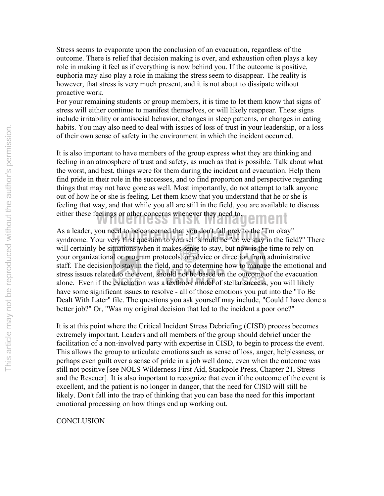Stress seems to evaporate upon the conclusion of an evacuation, regardless of the outcome. There is relief that decision making is over, and exhaustion often plays a key role in making it feel as if everything is now behind you. If the outcome is positive, euphoria may also play a role in making the stress seem to disappear. The reality is however, that stress is very much present, and it is not about to dissipate without proactive work.

For your remaining students or group members, it is time to let them know that signs of stress will either continue to manifest themselves, or will likely reappear. These signs include irritability or antisocial behavior, changes in sleep patterns, or changes in eating habits. You may also need to deal with issues of loss of trust in your leadership, or a loss of their own sense of safety in the environment in which the incident occurred.

either these feelings or other concerns whenever they need to. It is also important to have members of the group express what they are thinking and feeling in an atmosphere of trust and safety, as much as that is possible. Talk about what the worst, and best, things were for them during the incident and evacuation. Help them find pride in their role in the successes, and to find proportion and perspective regarding things that may not have gone as well. Most importantly, do not attempt to talk anyone out of how he or she is feeling. Let them know that you understand that he or she is feeling that way, and that while you all are still in the field, you are available to discuss

As a leader, you need to be concerned that you don't fall prey to the "I'm okay"<br>syndrome. Your very first question to yourself should be "do we stay in the field?" There As a leader, you need to be concerned that you don't fall prey to the "I'm okay" will certainly be situations when it makes sense to stay, but now is the time to rely on your organizational or program protocols, or advice or direction from administrative staff. The decision to stay in the field, and to determine how to manage the emotional and stress issues related to the event, should not be based on the outcome of the evacuation alone. Even if the evacuation was a textbook model of stellar success, you will likely have some significant issues to resolve - all of those emotions you put into the "To Be Dealt With Later" file. The questions you ask yourself may include, "Could I have done a better job?" Or, "Was my original decision that led to the incident a poor one?"

It is at this point where the Critical Incident Stress Debriefing (CISD) process becomes extremely important. Leaders and all members of the group should debrief under the facilitation of a non-involved party with expertise in CISD, to begin to process the event. This allows the group to articulate emotions such as sense of loss, anger, helplessness, or perhaps even guilt over a sense of pride in a job well done, even when the outcome was still not positive [see NOLS Wilderness First Aid, Stackpole Press, Chapter 21, Stress and the Rescuer]. It is also important to recognize that even if the outcome of the event is excellent, and the patient is no longer in danger, that the need for CISD will still be likely. Don't fall into the trap of thinking that you can base the need for this important emotional processing on how things end up working out.

## **CONCLUSION**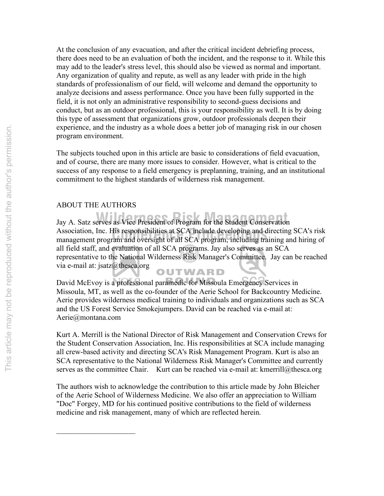At the conclusion of any evacuation, and after the critical incident debriefing process, there does need to be an evaluation of both the incident, and the response to it. While this may add to the leader's stress level, this should also be viewed as normal and important. Any organization of quality and repute, as well as any leader with pride in the high standards of professionalism of our field, will welcome and demand the opportunity to analyze decisions and assess performance. Once you have been fully supported in the field, it is not only an administrative responsibility to second-guess decisions and conduct, but as an outdoor professional, this is your responsibility as well. It is by doing this type of assessment that organizations grow, outdoor professionals deepen their experience, and the industry as a whole does a better job of managing risk in our chosen program environment.

The subjects touched upon in this article are basic to considerations of field evacuation, and of course, there are many more issues to consider. However, what is critical to the success of any response to a field emergency is preplanning, training, and an institutional commitment to the highest standards of wilderness risk management.

## ABOUT THE AUTHORS

 $\mathcal{L}_\text{max}$ 

**Jay A. Satz serves as Vice President of Program for the Student Conservation** Association, Inc. His responsibilities at SCA include developing and directing SCA's risk Association, Inc. His responsibilities at SCA include developing and directing SCA's risk management program and oversight of all SCA program, including training and hiring of all field staff, and evaluation of all SCA programs. Jay also serves as an SCA representative to the National Wilderness Risk Manager's Committee. Jay can be reached via e-mail at: jsatz@thesca.org OUTWARD

David McEvoy is a professional paramedic for Missoula Emergency Services in Missoula, MT, as well as the co-founder of the Aerie School for Backcountry Medicine. Aerie provides wilderness medical training to individuals and organizations such as SCA and the US Forest Service Smokejumpers. David can be reached via e-mail at: Aerie@montana.com

Kurt A. Merrill is the National Director of Risk Management and Conservation Crews for the Student Conservation Association, Inc. His responsibilities at SCA include managing all crew-based activity and directing SCA's Risk Management Program. Kurt is also an SCA representative to the National Wilderness Risk Manager's Committee and currently serves as the committee Chair. Kurt can be reached via e-mail at: kmerrill@thesca.org

The authors wish to acknowledge the contribution to this article made by John Bleicher of the Aerie School of Wilderness Medicine. We also offer an appreciation to William "Doc" Forgey, MD for his continued positive contributions to the field of wilderness medicine and risk management, many of which are reflected herein.